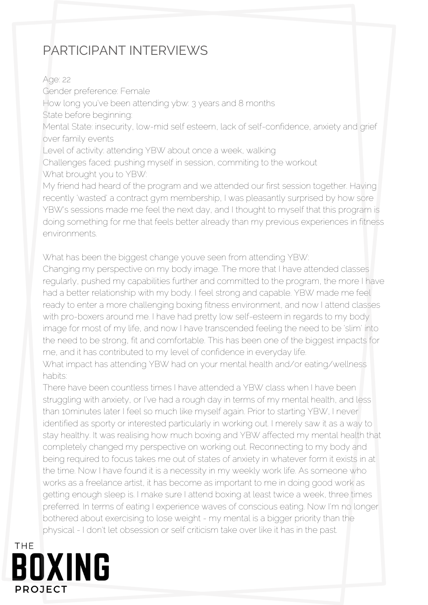## PARTICIPANT INTERVIEWS

Age: 22 Gender preference: Female How long you've been attending ybw: 3 years and 8 months State before beginning: Mental State: insecurity, low-mid self esteem, lack of self-confidence, anxiety and grief over family events Level of activity: attending YBW about once a week, walking Challenges faced: pushing myself in session, commiting to the workout What brought you to YBW: My friend had heard of the program and we attended our first session together. Having recently 'wasted' a contract gym membership, I was pleasantly surprised by how sore YBW's sessions made me feel the next day, and I thought to myself that this program is doing something for me that feels better already than my previous experiences in fitness environments.

What has been the biggest change youve seen from attending YBW:

Changing my perspective on my body image. The more that I have attended classes regularly, pushed my capabilities further and committed to the program, the more I have had a better relationship with my body. I feel strong and capable. YBW made me feel ready to enter a more challenging boxing fitness environment, and now I attend classes with pro-boxers around me. I have had pretty low self-esteem in regards to my body image for most of my life, and now I have transcended feeling the need to be 'slim' into the need to be strong, fit and comfortable. This has been one of the biggest impacts for me, and it has contributed to my level of confidence in everyday life.

What impact has attending YBW had on your mental health and/or eating/wellness habits:

There have been countless times I have attended a YBW class when I have been struggling with anxiety, or I've had a rough day in terms of my mental health, and less than 10minutes later I feel so much like myself again. Prior to starting YBW, I never identified as sporty or interested particularly in working out. I merely saw it as a way to stay healthy. It was realising how much boxing and YBW affected my mental health that completely changed my perspective on working out. Reconnecting to my body and being required to focus takes me out of states of anxiety in whatever form it exists in at the time. Now I have found it is a necessity in my weekly work life. As someone who works as a freelance artist, it has become as important to me in doing good work as getting enough sleep is. I make sure I attend boxing at least twice a week, three times preferred. In terms of eating I experience waves of conscious eating. Now I'm no longer bothered about exercising to lose weight - my mental is a bigger priority than the physical - I don't let obsession or self criticism take over like it has in the past.

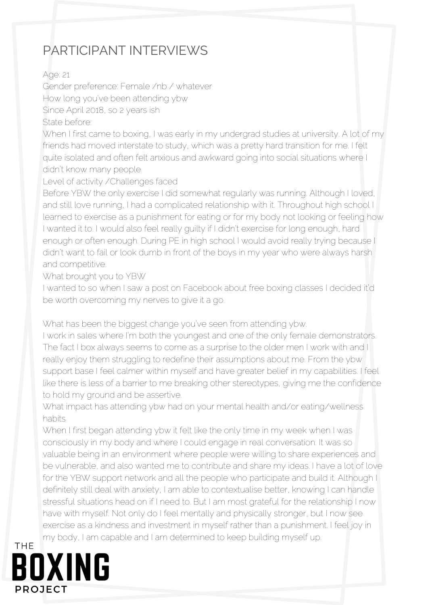## PARTICIPANT INTERVIEWS

Age: 21

Gender preference: Female /nb / whatever How long you've been attending ybw Since April 2018, so 2 years ish State before:

When I first came to boxing, I was early in my undergrad studies at university. A lot of my friends had moved interstate to study, which was a pretty hard transition for me. I felt quite isolated and often felt anxious and awkward going into social situations where I didn't know many people.

Level of activity /Challenges faced

Before YBW the only exercise I did somewhat regularly was running. Although I loved, and still love running, I had a complicated relationship with it. Throughout high school I learned to exercise as a punishment for eating or for my body not looking or feeling how I wanted it to. I would also feel really guilty if I didn't exercise for long enough, hard enough or often enough. During PE in high school I would avoid really trying because I didn't want to fail or look dumb in front of the boys in my year who were always harsh and competitive.

What brought you to YBW

I wanted to so when I saw a post on Facebook about free boxing classes I decided it'd be worth overcoming my nerves to give it a go.

What has been the biggest change you've seen from attending ybw.

I work in sales where I'm both the youngest and one of the only female demonstrators. The fact I box always seems to come as a surprise to the older men I work with and I really enjoy them struggling to redefine their assumptions about me. From the ybw support base I feel calmer within myself and have greater belief in my capabilities. I feel like there is less of a barrier to me breaking other stereotypes, giving me the confidence to hold my ground and be assertive.

What impact has attending ybw had on your mental health and/or eating/wellness habits

When I first began attending ybw it felt like the only time in my week when I was consciously in my body and where I could engage in real conversation. It was so valuable being in an environment where people were willing to share experiences and be vulnerable, and also wanted me to contribute and share my ideas. I have a lot of love for the YBW support network and all the people who participate and build it. Although I definitely still deal with anxiety, I am able to contextualise better, knowing I can handle stressful situations head on if I need to. But I am most grateful for the relationship I now have with myself. Not only do I feel mentally and physically stronger, but I now see exercise as a kindness and investment in myself rather than a punishment. I feel joy in my body, I am capable and I am determined to keep building myself up.